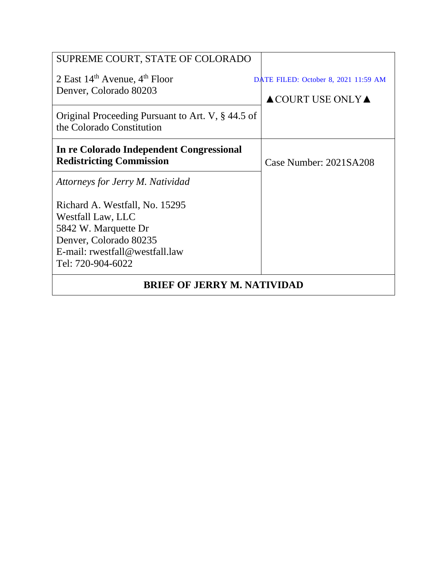| SUPREME COURT, STATE OF COLORADO                                              |                                                                                |
|-------------------------------------------------------------------------------|--------------------------------------------------------------------------------|
| 2 East $14th$ Avenue, $4th$ Floor<br>Denver, Colorado 80203                   | DATE FILED: October 8, 2021 11:59 AM<br>$\triangle$ COURT USE ONLY $\triangle$ |
| Original Proceeding Pursuant to Art. V, §44.5 of<br>the Colorado Constitution |                                                                                |
| In re Colorado Independent Congressional<br><b>Redistricting Commission</b>   | Case Number: 2021SA208                                                         |
| Attorneys for Jerry M. Natividad                                              |                                                                                |
| Richard A. Westfall, No. 15295                                                |                                                                                |
| <b>Westfall Law, LLC</b>                                                      |                                                                                |
| 5842 W. Marquette Dr                                                          |                                                                                |
| Denver, Colorado 80235                                                        |                                                                                |
| E-mail: rwestfall@westfall.law                                                |                                                                                |
| Tel: 720-904-6022                                                             |                                                                                |
| <b>BRIEF OF JERRY M. NATIVIDAD</b>                                            |                                                                                |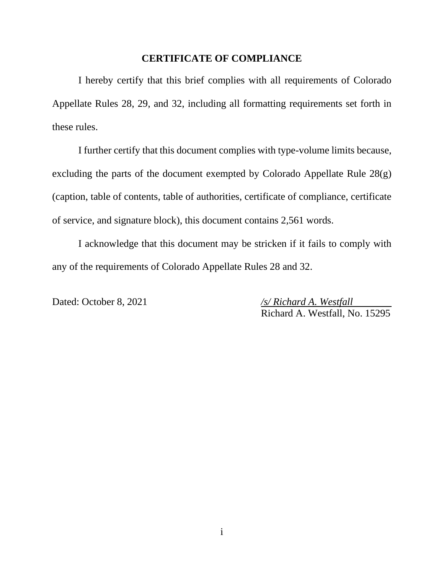#### **CERTIFICATE OF COMPLIANCE**

I hereby certify that this brief complies with all requirements of Colorado Appellate Rules 28, 29, and 32, including all formatting requirements set forth in these rules.

I further certify that this document complies with type-volume limits because, excluding the parts of the document exempted by Colorado Appellate Rule 28(g) (caption, table of contents, table of authorities, certificate of compliance, certificate of service, and signature block), this document contains 2,561 words.

I acknowledge that this document may be stricken if it fails to comply with any of the requirements of Colorado Appellate Rules 28 and 32.

Dated: October 8, 2021 */s/ Richard A. Westfall* Richard A. Westfall, No. 15295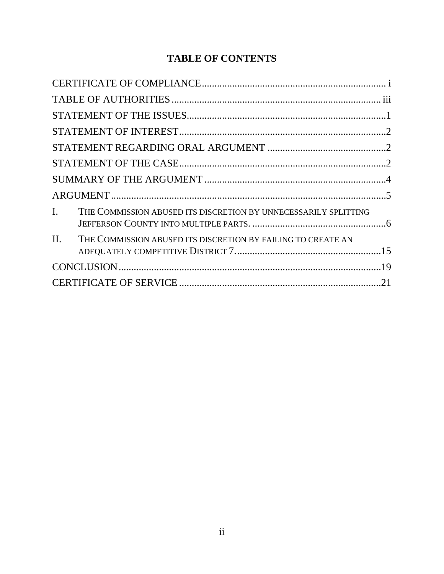## **TABLE OF CONTENTS**

| $\mathbf{I}$ .<br>THE COMMISSION ABUSED ITS DISCRETION BY UNNECESSARILY SPLITTING |  |
|-----------------------------------------------------------------------------------|--|
| $\Pi$ .<br>THE COMMISSION ABUSED ITS DISCRETION BY FAILING TO CREATE AN           |  |
|                                                                                   |  |
|                                                                                   |  |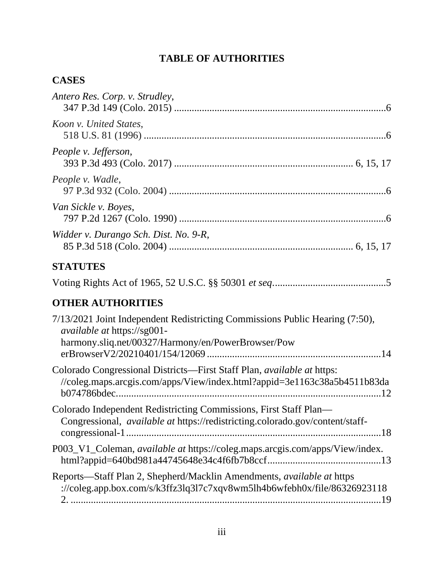# **TABLE OF AUTHORITIES**

## **CASES**

| Antero Res. Corp. v. Strudley,                                                                                                                                           |
|--------------------------------------------------------------------------------------------------------------------------------------------------------------------------|
| Koon v. United States,                                                                                                                                                   |
| People v. Jefferson,                                                                                                                                                     |
| People v. Wadle,                                                                                                                                                         |
| Van Sickle v. Boyes,                                                                                                                                                     |
| Widder v. Durango Sch. Dist. No. 9-R,                                                                                                                                    |
| <b>STATUTES</b>                                                                                                                                                          |
|                                                                                                                                                                          |
| <b>OTHER AUTHORITIES</b>                                                                                                                                                 |
| 7/13/2021 Joint Independent Redistricting Commissions Public Hearing (7:50),<br><i>available at https://sg001-</i><br>harmony.sliq.net/00327/Harmony/en/PowerBrowser/Pow |
| Colorado Congressional Districts—First Staff Plan, <i>available at</i> https:<br>//coleg.maps.arcgis.com/apps/View/index.html?appid=3e1163c38a5b4511b83da                |
| Colorado Independent Redistricting Commissions, First Staff Plan-<br>Congressional, available at https://redistricting.colorado.gov/content/staff-                       |
| P003_V1_Coleman, available at https://coleg.maps.arcgis.com/apps/View/index.                                                                                             |
| Reports-Staff Plan 2, Shepherd/Macklin Amendments, available at https<br>://coleg.app.box.com/s/k3ffz3lq3l7c7xqv8wm5lh4b6wfebh0x/file/86326923118                        |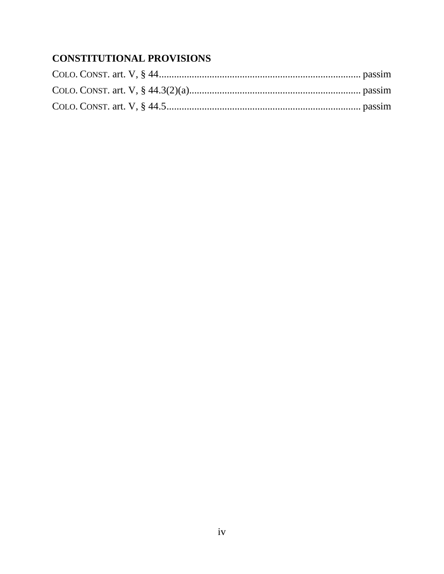# **CONSTITUTIONAL PROVISIONS**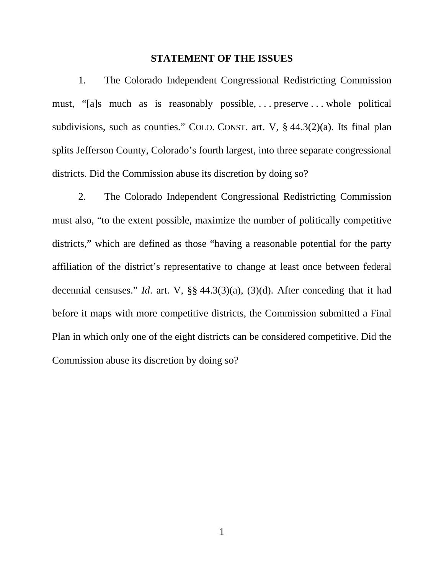#### **STATEMENT OF THE ISSUES**

1. The Colorado Independent Congressional Redistricting Commission must, "[a]s much as is reasonably possible, ... preserve ... whole political subdivisions, such as counties." COLO. CONST. art. V, § 44.3(2)(a). Its final plan splits Jefferson County, Colorado's fourth largest, into three separate congressional districts. Did the Commission abuse its discretion by doing so?

2. The Colorado Independent Congressional Redistricting Commission must also, "to the extent possible, maximize the number of politically competitive districts," which are defined as those "having a reasonable potential for the party affiliation of the district's representative to change at least once between federal decennial censuses." *Id*. art. V, §§ 44.3(3)(a), (3)(d). After conceding that it had before it maps with more competitive districts, the Commission submitted a Final Plan in which only one of the eight districts can be considered competitive. Did the Commission abuse its discretion by doing so?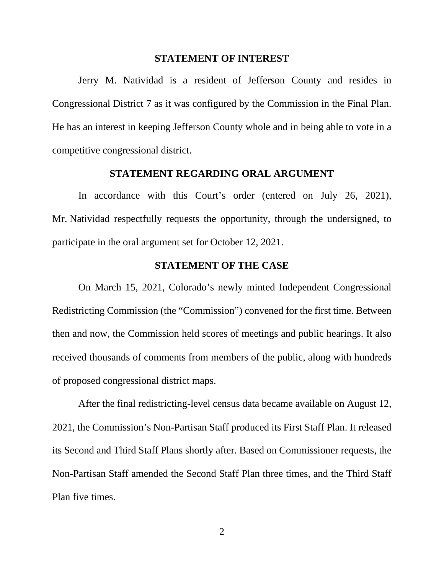#### **STATEMENT OF INTEREST**

Jerry M. Natividad is a resident of Jefferson County and resides in Congressional District 7 as it was configured by the Commission in the Final Plan. He has an interest in keeping Jefferson County whole and in being able to vote in a competitive congressional district.

#### **STATEMENT REGARDING ORAL ARGUMENT**

In accordance with this Court's order (entered on July 26, 2021), Mr. Natividad respectfully requests the opportunity, through the undersigned, to participate in the oral argument set for October 12, 2021.

#### **STATEMENT OF THE CASE**

On March 15, 2021, Colorado's newly minted Independent Congressional Redistricting Commission (the "Commission") convened for the first time. Between then and now, the Commission held scores of meetings and public hearings. It also received thousands of comments from members of the public, along with hundreds of proposed congressional district maps.

After the final redistricting-level census data became available on August 12, 2021, the Commission's Non-Partisan Staff produced its First Staff Plan. It released its Second and Third Staff Plans shortly after. Based on Commissioner requests, the Non-Partisan Staff amended the Second Staff Plan three times, and the Third Staff Plan five times.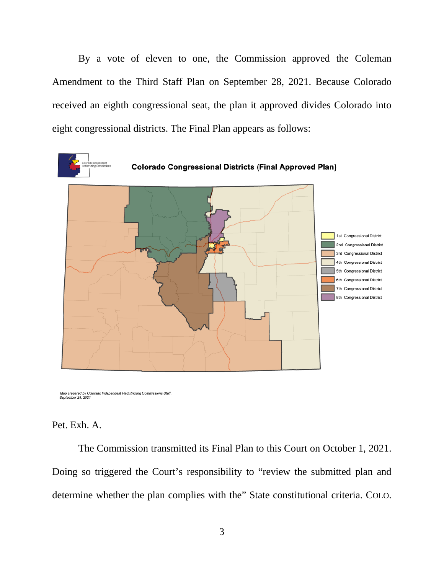By a vote of eleven to one, the Commission approved the Coleman Amendment to the Third Staff Plan on September 28, 2021. Because Colorado received an eighth congressional seat, the plan it approved divides Colorado into eight congressional districts. The Final Plan appears as follows:



Map prepared by Colorado Independent Redistricting Commissions Staff.<br>September 28, 2021.

Pet. Exh. A.

The Commission transmitted its Final Plan to this Court on October 1, 2021. Doing so triggered the Court's responsibility to "review the submitted plan and determine whether the plan complies with the" State constitutional criteria. COLO.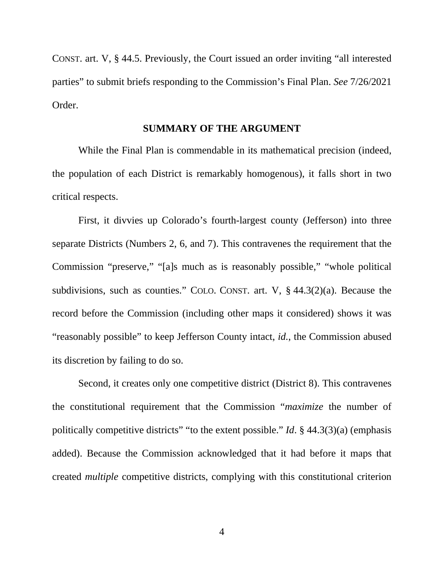CONST. art. V, § 44.5. Previously, the Court issued an order inviting "all interested parties" to submit briefs responding to the Commission's Final Plan. *See* 7/26/2021 Order.

### **SUMMARY OF THE ARGUMENT**

While the Final Plan is commendable in its mathematical precision (indeed, the population of each District is remarkably homogenous), it falls short in two critical respects.

First, it divvies up Colorado's fourth-largest county (Jefferson) into three separate Districts (Numbers 2, 6, and 7). This contravenes the requirement that the Commission "preserve," "[a]s much as is reasonably possible," "whole political subdivisions, such as counties." COLO. CONST. art. V, § 44.3(2)(a). Because the record before the Commission (including other maps it considered) shows it was "reasonably possible" to keep Jefferson County intact, *id.*, the Commission abused its discretion by failing to do so.

Second, it creates only one competitive district (District 8). This contravenes the constitutional requirement that the Commission "*maximize* the number of politically competitive districts" "to the extent possible." *Id*. § 44.3(3)(a) (emphasis added). Because the Commission acknowledged that it had before it maps that created *multiple* competitive districts, complying with this constitutional criterion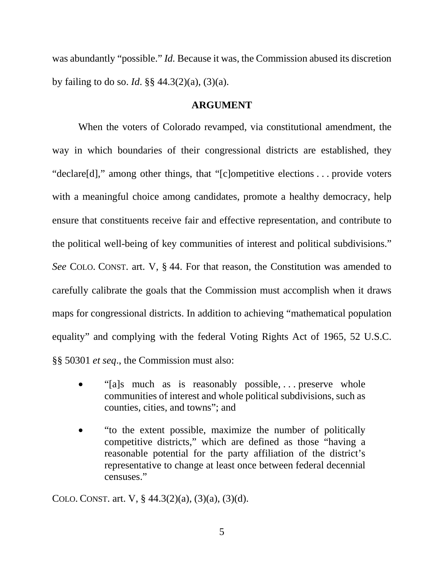was abundantly "possible." *Id.* Because it was, the Commission abused its discretion by failing to do so. *Id*. §§ 44.3(2)(a), (3)(a).

#### **ARGUMENT**

When the voters of Colorado revamped, via constitutional amendment, the way in which boundaries of their congressional districts are established, they "declare[d]," among other things, that "[c]ompetitive elections . . . provide voters with a meaningful choice among candidates, promote a healthy democracy, help ensure that constituents receive fair and effective representation, and contribute to the political well-being of key communities of interest and political subdivisions." *See* COLO. CONST. art. V, § 44. For that reason, the Constitution was amended to carefully calibrate the goals that the Commission must accomplish when it draws maps for congressional districts. In addition to achieving "mathematical population equality" and complying with the federal Voting Rights Act of 1965, 52 U.S.C. §§ 50301 *et seq*., the Commission must also:

- "[a]s much as is reasonably possible, ... preserve whole communities of interest and whole political subdivisions, such as counties, cities, and towns"; and
- "to the extent possible, maximize the number of politically competitive districts," which are defined as those "having a reasonable potential for the party affiliation of the district's representative to change at least once between federal decennial censuses."

COLO. CONST. art. V,  $\S$  44.3(2)(a), (3)(a), (3)(d).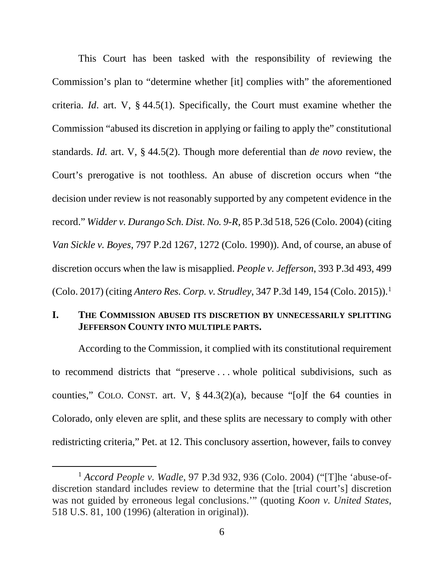This Court has been tasked with the responsibility of reviewing the Commission's plan to "determine whether [it] complies with" the aforementioned criteria. *Id*. art. V, § 44.5(1). Specifically, the Court must examine whether the Commission "abused its discretion in applying or failing to apply the" constitutional standards. *Id.* art. V, § 44.5(2). Though more deferential than *de novo* review, the Court's prerogative is not toothless. An abuse of discretion occurs when "the decision under review is not reasonably supported by any competent evidence in the record." *Widder v. Durango Sch. Dist. No. 9-R*, 85 P.3d 518, 526 (Colo. 2004) (citing *Van Sickle v. Boyes*, 797 P.2d 1267, 1272 (Colo. 1990)). And, of course, an abuse of discretion occurs when the law is misapplied. *People v. Jefferson*, 393 P.3d 493, 499 (Colo. 2017) (citing *Antero Res. Corp. v. Strudley*, 347 P.3d 149, 154 (Colo. 2015)). 1

### **I. THE COMMISSION ABUSED ITS DISCRETION BY UNNECESSARILY SPLITTING JEFFERSON COUNTY INTO MULTIPLE PARTS.**

According to the Commission, it complied with its constitutional requirement to recommend districts that "preserve . . . whole political subdivisions, such as counties," COLO. CONST. art. V, § 44.3(2)(a), because "[o]f the 64 counties in Colorado, only eleven are split, and these splits are necessary to comply with other redistricting criteria," Pet. at 12. This conclusory assertion, however, fails to convey

<sup>1</sup> *Accord People v. Wadle*, 97 P.3d 932, 936 (Colo. 2004) ("[T]he 'abuse-ofdiscretion standard includes review to determine that the [trial court's] discretion was not guided by erroneous legal conclusions.'" (quoting *Koon v. United States*, 518 U.S. 81, 100 (1996) (alteration in original)).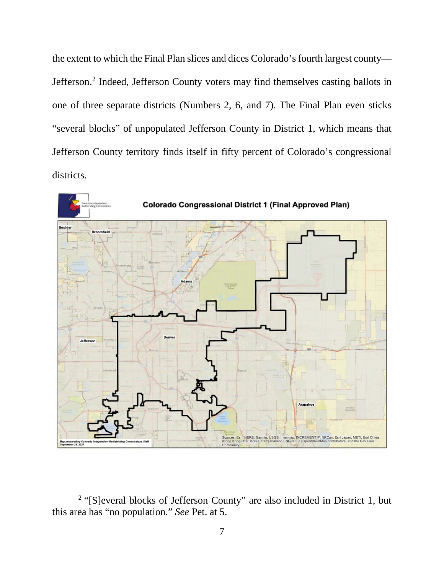the extent to which the Final Plan slices and dices Colorado's fourth largest county— Jefferson. <sup>2</sup> Indeed, Jefferson County voters may find themselves casting ballots in one of three separate districts (Numbers 2, 6, and 7). The Final Plan even sticks "several blocks" of unpopulated Jefferson County in District 1, which means that Jefferson County territory finds itself in fifty percent of Colorado's congressional districts.



<sup>2</sup> "[S]everal blocks of Jefferson County" are also included in District 1, but this area has "no population." *See* Pet. at 5.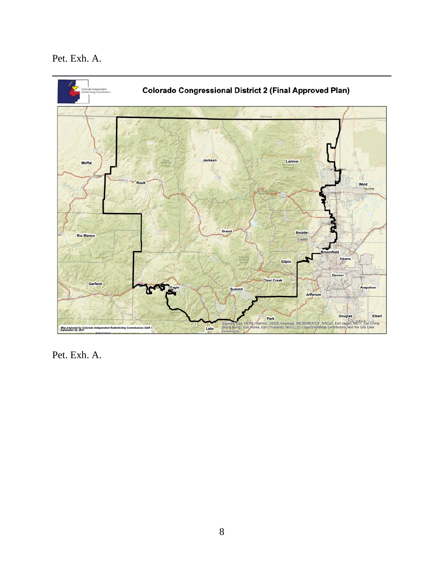Pet. Exh. A.



Pet. Exh. A.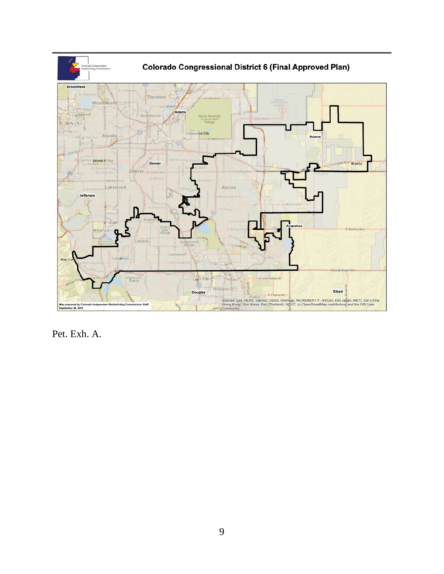

Pet. Exh. A.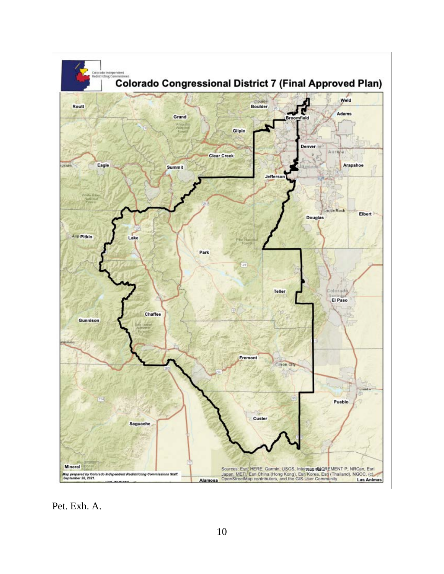

Pet. Exh. A.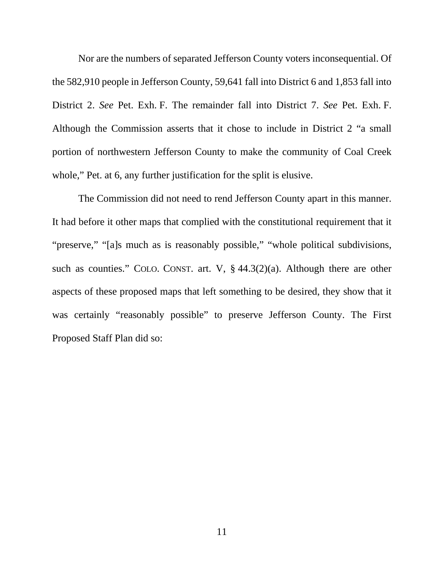Nor are the numbers of separated Jefferson County voters inconsequential. Of the 582,910 people in Jefferson County, 59,641 fall into District 6 and 1,853 fall into District 2. *See* Pet. Exh. F. The remainder fall into District 7. *See* Pet. Exh. F. Although the Commission asserts that it chose to include in District 2 "a small portion of northwestern Jefferson County to make the community of Coal Creek whole," Pet. at 6, any further justification for the split is elusive.

The Commission did not need to rend Jefferson County apart in this manner. It had before it other maps that complied with the constitutional requirement that it "preserve," "[a]s much as is reasonably possible," "whole political subdivisions, such as counties." COLO. CONST. art. V,  $\S$  44.3(2)(a). Although there are other aspects of these proposed maps that left something to be desired, they show that it was certainly "reasonably possible" to preserve Jefferson County. The First Proposed Staff Plan did so: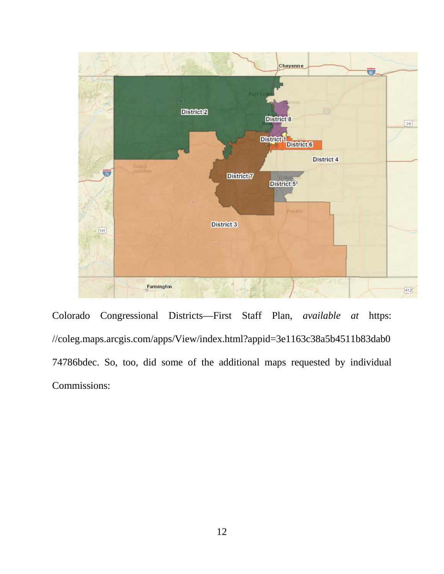

Colorado Congressional Districts—First Staff Plan, *available at* https: //coleg.maps.arcgis.com/apps/View/index.html?appid=3e1163c38a5b4511b83dab0 74786bdec. So, too, did some of the additional maps requested by individual Commissions: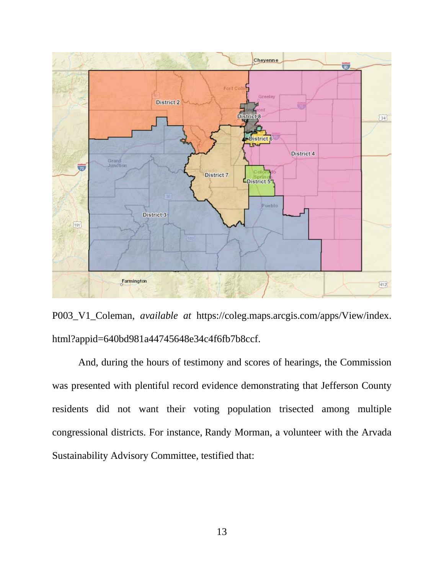

P003\_V1\_Coleman, *available at* https://coleg.maps.arcgis.com/apps/View/index. html?appid=640bd981a44745648e34c4f6fb7b8ccf.

And, during the hours of testimony and scores of hearings, the Commission was presented with plentiful record evidence demonstrating that Jefferson County residents did not want their voting population trisected among multiple congressional districts. For instance, Randy Morman, a volunteer with the Arvada Sustainability Advisory Committee, testified that: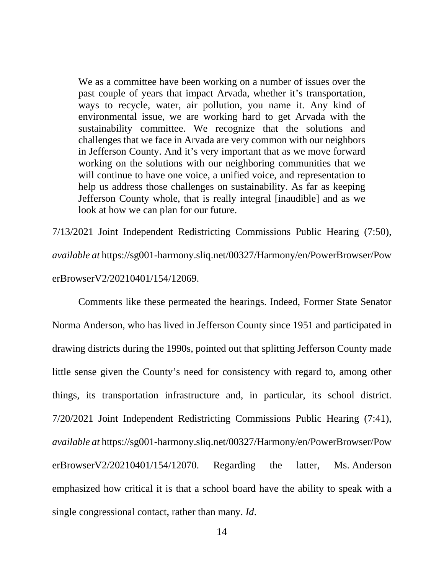We as a committee have been working on a number of issues over the past couple of years that impact Arvada, whether it's transportation, ways to recycle, water, air pollution, you name it. Any kind of environmental issue, we are working hard to get Arvada with the sustainability committee. We recognize that the solutions and challenges that we face in Arvada are very common with our neighbors in Jefferson County. And it's very important that as we move forward working on the solutions with our neighboring communities that we will continue to have one voice, a unified voice, and representation to help us address those challenges on sustainability. As far as keeping Jefferson County whole, that is really integral [inaudible] and as we look at how we can plan for our future.

7/13/2021 Joint Independent Redistricting Commissions Public Hearing (7:50), *available at* https://sg001-harmony.sliq.net/00327/Harmony/en/PowerBrowser/Pow erBrowserV2/20210401/154/12069.

Comments like these permeated the hearings. Indeed, Former State Senator Norma Anderson, who has lived in Jefferson County since 1951 and participated in drawing districts during the 1990s, pointed out that splitting Jefferson County made little sense given the County's need for consistency with regard to, among other things, its transportation infrastructure and, in particular, its school district. 7/20/2021 Joint Independent Redistricting Commissions Public Hearing (7:41), *available at* https://sg001-harmony.sliq.net/00327/Harmony/en/PowerBrowser/Pow erBrowserV2/20210401/154/12070. Regarding the latter, Ms. Anderson emphasized how critical it is that a school board have the ability to speak with a single congressional contact, rather than many. *Id*.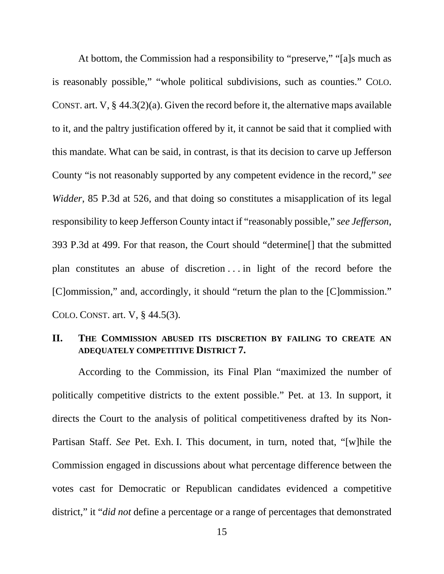At bottom, the Commission had a responsibility to "preserve," "[a]s much as is reasonably possible," "whole political subdivisions, such as counties." COLO. CONST. art. V, § 44.3(2)(a). Given the record before it, the alternative maps available to it, and the paltry justification offered by it, it cannot be said that it complied with this mandate. What can be said, in contrast, is that its decision to carve up Jefferson County "is not reasonably supported by any competent evidence in the record," *see Widder*, 85 P.3d at 526, and that doing so constitutes a misapplication of its legal responsibility to keep Jefferson County intact if "reasonably possible," *see Jefferson*, 393 P.3d at 499. For that reason, the Court should "determine[] that the submitted plan constitutes an abuse of discretion . . . in light of the record before the [C]ommission," and, accordingly, it should "return the plan to the [C]ommission." COLO. CONST. art. V, § 44.5(3).

### **II. THE COMMISSION ABUSED ITS DISCRETION BY FAILING TO CREATE AN ADEQUATELY COMPETITIVE DISTRICT 7.**

According to the Commission, its Final Plan "maximized the number of politically competitive districts to the extent possible." Pet. at 13. In support, it directs the Court to the analysis of political competitiveness drafted by its Non-Partisan Staff. *See* Pet. Exh. I. This document, in turn, noted that, "[w]hile the Commission engaged in discussions about what percentage difference between the votes cast for Democratic or Republican candidates evidenced a competitive district," it "*did not* define a percentage or a range of percentages that demonstrated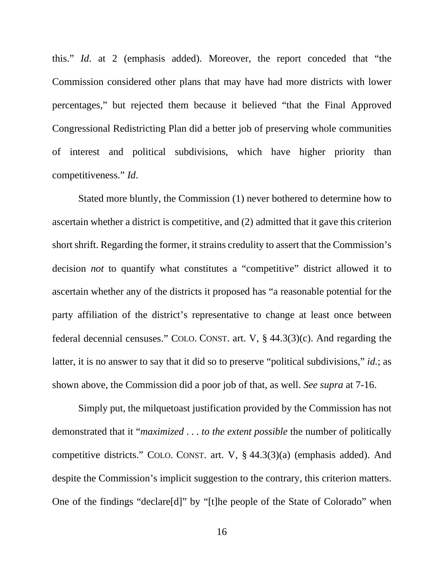this." *Id*. at 2 (emphasis added). Moreover, the report conceded that "the Commission considered other plans that may have had more districts with lower percentages," but rejected them because it believed "that the Final Approved Congressional Redistricting Plan did a better job of preserving whole communities of interest and political subdivisions, which have higher priority than competitiveness." *Id*.

Stated more bluntly, the Commission (1) never bothered to determine how to ascertain whether a district is competitive, and (2) admitted that it gave this criterion short shrift. Regarding the former, it strains credulity to assert that the Commission's decision *not* to quantify what constitutes a "competitive" district allowed it to ascertain whether any of the districts it proposed has "a reasonable potential for the party affiliation of the district's representative to change at least once between federal decennial censuses." COLO. CONST. art. V, § 44.3(3)(c). And regarding the latter, it is no answer to say that it did so to preserve "political subdivisions," *id.*; as shown above, the Commission did a poor job of that, as well. *See supra* at 7-16.

Simply put, the milquetoast justification provided by the Commission has not demonstrated that it "*maximized* . . . *to the extent possible* the number of politically competitive districts." COLO. CONST. art. V, § 44.3(3)(a) (emphasis added). And despite the Commission's implicit suggestion to the contrary, this criterion matters. One of the findings "declare[d]" by "[t]he people of the State of Colorado" when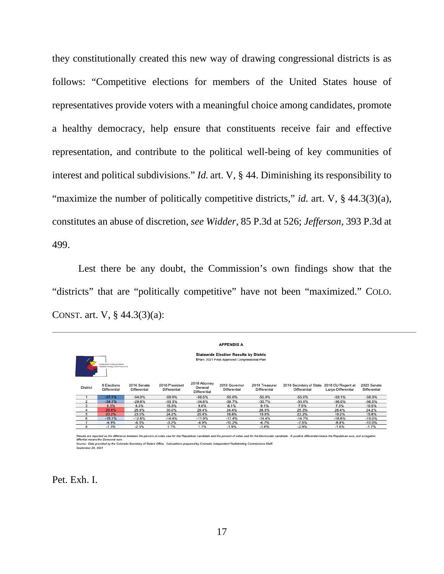they constitutionally created this new way of drawing congressional districts is as follows: "Competitive elections for members of the United States house of representatives provide voters with a meaningful choice among candidates, promote a healthy democracy, help ensure that constituents receive fair and effective representation, and contribute to the political well-being of key communities of interest and political subdivisions." *Id.* art. V, § 44. Diminishing its responsibility to "maximize the number of politically competitive districts," *id.* art. V, § 44.3(3)(a), constitutes an abuse of discretion, *see Widder*, 85 P.3d at 526; *Jefferson*, 393 P.3d at 499.

Lest there be any doubt, the Commission's own findings show that the "districts" that are "politically competitive" have not been "maximized." COLO. CONST. art. V,  $\S$  44.3(3)(a):

| <b>Statewide Election Results by Distric</b><br>tPlan: 2021 Final Approved Congressional Plan<br>Colorado Independent<br>Redistricting Commissions |                             |                             |                                |                                          |                               |                                |                                                |                                         |                             |
|----------------------------------------------------------------------------------------------------------------------------------------------------|-----------------------------|-----------------------------|--------------------------------|------------------------------------------|-------------------------------|--------------------------------|------------------------------------------------|-----------------------------------------|-----------------------------|
| District                                                                                                                                           | 8 Elections<br>Differential | 2016 Senate<br>Differential | 2016 President<br>Differential | 2018 Attorney<br>General<br>Differential | 2018 Governor<br>Differential | 2018 Treasurer<br>Differential | 2018 Secretary of State<br><b>Differential</b> | 2018 CU Regent at<br>Large Differential | 2020 Senate<br>Differential |
|                                                                                                                                                    | $-57.1%$                    | $-54.0%$                    | $-59.0%$                       | $-56.5%$                                 | $-59.6%$                      | $-55.0%$                       | $-55.0%$                                       | $-59.1%$                                | $-58.3%$                    |
|                                                                                                                                                    | $-34.1%$                    | $-29.8%$                    | $-33.3%$                       | $-34.6%$                                 | $-38.7%$                      | $-30.7%$                       | $-33.9%$                                       | $-36.0%$                                | $-36.0%$                    |
|                                                                                                                                                    | 9.3%                        | 8.3%                        | 15.3%                          | 9.6%                                     | 6.1%                          | 9.1%                           | 7.5%                                           | 7.5%                                    | 10.5%                       |
|                                                                                                                                                    | 26.6%                       | 25.9%                       | 30.0%                          | 29.4%                                    | 24.4%                         | 26.9%                          | 25.3%                                          | 26.4%                                   | 24.2%                       |
| 5                                                                                                                                                  | 20.2%                       | 23.0%                       | 24.2%                          | 20.8%                                    | 16.8%                         | 19.8%                          | 22.2%                                          | 19.2%                                   | 15.8%                       |
|                                                                                                                                                    | $-15.1%$                    | $-12.8%$                    | $-14.4%$                       | $-11.9%$                                 | $-17.4%$                      | $-14.4%$                       | $-14.7%$                                       | $-16.6%$                                | $-19.0%$                    |
|                                                                                                                                                    | $-6.9%$                     | $-4.3%$                     | $-3.2%$                        | $-4.9%$                                  | $-10.2%$                      | $-6.7%$                        | $-7.5%$                                        | $-8.4%$                                 | $-10.0%$                    |
| 8                                                                                                                                                  | $-1.3%$                     | $-2.3%$                     | 1.7%                           | 1.7%                                     | $-1.9%$                       | $-3.6%$                        | $-2.9%$                                        | $-1.6%$                                 | $-1.7%$                     |

**APPENDIX A** 

uits are reported as the difference between the percent of votes cast for the Republican candidate and the percent of votes cast for the Democratic candidate. A positive differential means the Republican won, and a negativ

succision in the second of the Colorado Secretary of State's Office. Calculations prepared by Colorado Independent Redistricting Commissions Staff.<br>September 28, 2021

Pet. Exh. I.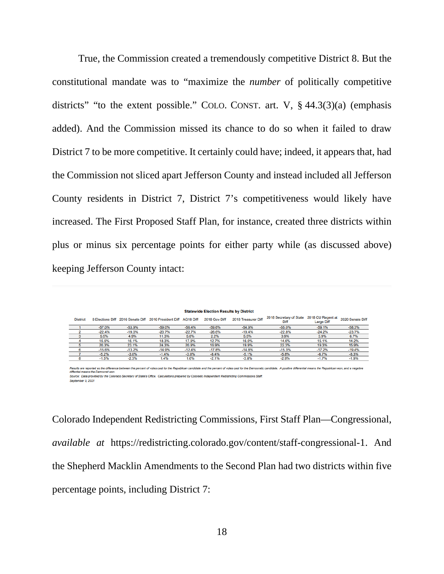True, the Commission created a tremendously competitive District 8. But the constitutional mandate was to "maximize the *number* of politically competitive districts" "to the extent possible." COLO. CONST. art. V, § 44.3(3)(a) (emphasis added). And the Commission missed its chance to do so when it failed to draw District 7 to be more competitive. It certainly could have; indeed, it appears that, had the Commission not sliced apart Jefferson County and instead included all Jefferson County residents in District 7, District 7's competitiveness would likely have increased. The First Proposed Staff Plan, for instance, created three districts within plus or minus six percentage points for either party while (as discussed above) keeping Jefferson County intact:

|                 |          |          |                                                                 |          | <b>Statewide Election Results by District</b> |                     |                                                   |                   |                  |
|-----------------|----------|----------|-----------------------------------------------------------------|----------|-----------------------------------------------|---------------------|---------------------------------------------------|-------------------|------------------|
| <b>District</b> |          |          | 8 Elections Diff 2016 Senate Diff 2016 President Diff AG18 Diff |          | 2018 Gov Diff                                 | 2018 Treasurer Diff | 2018 Secretary of State 2018 CU Regent at<br>Diff | <b>Large Diff</b> | 2020 Senate Diff |
|                 | $-57.0%$ | $-53.9%$ | $-59.0%$                                                        | $-56.4%$ | $-59.6%$                                      | $-54.9%$            | $-55.0%$                                          | $-59.1%$          | $-58.3%$         |
|                 | $-22.4%$ | $-19.0%$ | $-20.7%$                                                        | $-22.7%$ | $-26.6%$                                      | $-19.4%$            | $-22.8%$                                          | $-24.2%$          | $-23.7%$         |
|                 | 5.5%     | 4.9%     | 11.3%                                                           | 5.8%     | 2.2%                                          | 5.5%                | 3.9%                                              | 3.9%              | 6.7%             |
|                 | 15.6%    | 16.1%    | 18.3%                                                           | 17.9%    | 12.7%                                         | 16.0%               | 14.6%                                             | 15.1%             | 14.2%            |
|                 | 20.3%    | 23.1%    | 24.3%                                                           | 20.9%    | 16.9%                                         | 19.9%               | 22.3%                                             | 19.3%             | 15.9%            |
|                 | $-15.6%$ | $-13.2%$ | $-14.9%$                                                        | $-12.4%$ | $-17.8%$                                      | $-14.8%$            | $-15.3%$                                          | $-17.2%$          | $-19.4%$         |
|                 | $-5.2%$  | $-3.0%$  | $-1.4%$                                                         | $-3.0%$  | $-8.4%$                                       | $-5.1%$             | $-5.8%$                                           | $-6.7%$           | $-8.3%$          |
|                 | $-1.5%$  | $-2.3%$  | 1.4%                                                            | 1.6%     | $-2.1%$                                       | $-3.8%$             | $-2.9%$                                           | $-1.7%$           | $-1.9%$          |

Results are reported as the difference between the percent of votes cast for the Republican candidate and the percent of votes cast for the Democratic candidate. A positive differential means the Republican won, and a nega Source: Data provided by the Colorado Secretary of State's Office. Calculations prepared by Colorado Independent Redistricting Commissions Staff. September 3, 2021

Colorado Independent Redistricting Commissions, First Staff Plan—Congressional, *available at* https://redistricting.colorado.gov/content/staff-congressional-1. And the Shepherd Macklin Amendments to the Second Plan had two districts within five percentage points, including District 7: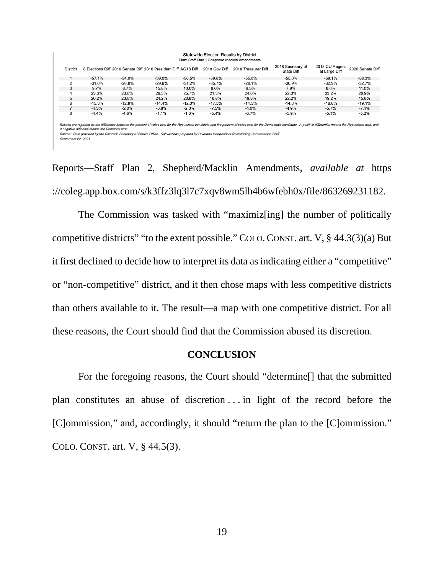| <b>District</b> |          | 8 Elections Diff 2016 Senate Diff 2016 President Diff AG18 Diff |          |          | 2018 Gov Diff | 2018 Treasurer Diff | 2018 Secretary of<br><b>State Diff</b> | 2018 CU Regent<br>at Large Diff | 2020 Senate Diff |
|-----------------|----------|-----------------------------------------------------------------|----------|----------|---------------|---------------------|----------------------------------------|---------------------------------|------------------|
|                 | $-57.1%$ | $-54.0%$                                                        | $-59.0%$ | $-56.5%$ | $-59.6%$      | $-55.0%$            | $-55.0%$                               | $-59.1%$                        | $-58.3%$         |
|                 | $-31.0%$ | $-26.8%$                                                        | $-29.6%$ | $-31.2%$ | $-35.7%$      | $-28.1%$            | $-30.9%$                               | $-32.9%$                        | $-32.7%$         |
|                 | 9.7%     | 8.7%                                                            | 15.8%    | 10.0%    | 6.6%          | 9.5%                | 7.9%                                   | 8.0%                            | 11.0%            |
|                 | 23.3%    | 23.0%                                                           | 26.5%    | 25.7%    | 21.3%         | 24.0%               | 22.0%                                  | 23.2%                           | 20.9%            |
|                 | 20.2%    | 23.0%                                                           | 24.2%    | 20.8%    | 16.8%         | 19.8%               | 22.2%                                  | 19.2%                           | 15.8%            |
|                 | $-15.3%$ | $-12.8%$                                                        | $-14.4%$ | $-12.0%$ | $-17.5%$      | $-14.5%$            | $-14.8%$                               | $-16.8%$                        | $-19.1%$         |
|                 | $-4.3%$  | $-2.0%$                                                         | $-0.8%$  | $-2.0%$  | $-7.5%$       | $-4.0%$             | $-4.9%$                                | $-5.7%$                         | $-7.4%$          |
|                 | $-4.4%$  | $-4.6%$                                                         | $-1.1%$  | $-1.6%$  | $-5.4%$       | $-6.7%$             | $-5.9%$                                | $-5.1%$                         | $-5.2%$          |

Results are reported as the difference between the per<br>a negative diffential means the Democrat won. ratic candidate. A positive differential means the Republican won, and Source: Data provided by the Colorado Secretary of State's Office. Calculations prepared by Colorado Independent Redistricting Commissions Staff. September 22, 2021

Reports—Staff Plan 2, Shepherd/Macklin Amendments, *available at* https ://coleg.app.box.com/s/k3ffz3lq3l7c7xqv8wm5lh4b6wfebh0x/file/863269231182.

The Commission was tasked with "maximiz[ing] the number of politically competitive districts" "to the extent possible." COLO.CONST. art. V, § 44.3(3)(a) But it first declined to decide how to interpret its data as indicating either a "competitive" or "non-competitive" district, and it then chose maps with less competitive districts than others available to it. The result—a map with one competitive district. For all these reasons, the Court should find that the Commission abused its discretion.

#### **CONCLUSION**

For the foregoing reasons, the Court should "determine[] that the submitted plan constitutes an abuse of discretion . . . in light of the record before the [C]ommission," and, accordingly, it should "return the plan to the [C]ommission." COLO. CONST. art. V, § 44.5(3).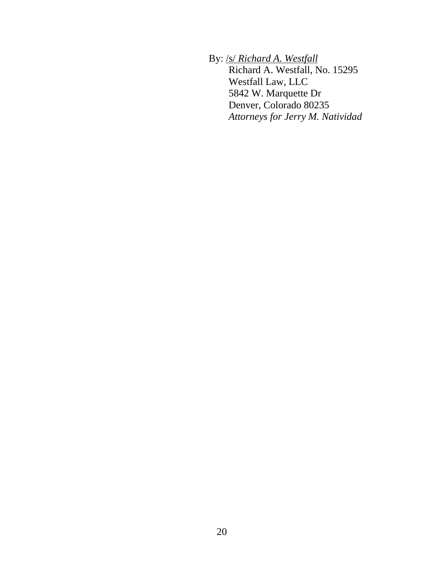By: /s/ *Richard A. Westfall* Richard A. Westfall, No. 15295 Westfall Law, LLC 5842 W. Marquette Dr Denver, Colorado 80235 *Attorneys for Jerry M. Natividad*